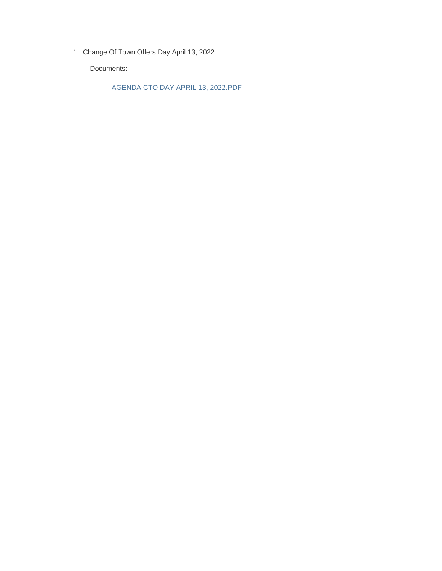Change Of Town Offers Day April 13, 2022 1.

Documents:

AGENDA CTO DAY APRIL 13, 2022.PDF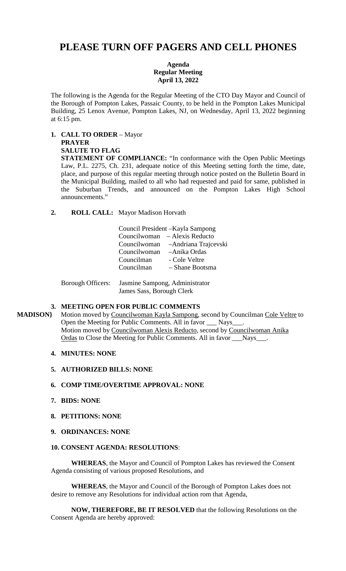# **PLEASE TURN OFF PAGERS AND CELL PHONES**

## **Agenda Regular Meeting April 13, 2022**

The following is the Agenda for the Regular Meeting of the CTO Day Mayor and Council of the Borough of Pompton Lakes, Passaic County, to be held in the Pompton Lakes Municipal Building, 25 Lenox Avenue, Pompton Lakes, NJ, on Wednesday, April 13, 2022 beginning at 6:15 pm.

**1. CALL TO ORDER** – Mayor **PRAYER** 

#### **SALUTE TO FLAG**

**STATEMENT OF COMPLIANCE:** "In conformance with the Open Public Meetings Law, P.L. 2275, Ch. 231, adequate notice of this Meeting setting forth the time, date, place, and purpose of this regular meeting through notice posted on the Bulletin Board in the Municipal Building, mailed to all who had requested and paid for same, published in the Suburban Trends, and announced on the Pompton Lakes High School announcements."

**2. ROLL CALL:** Mayor Madison Horvath

| Council President - Kayla Sampong |                                    |
|-----------------------------------|------------------------------------|
|                                   | Councilwoman – Alexis Reducto      |
|                                   | Councilwoman – Andriana Trajcevski |
| Councilwoman – Anika Ordas        |                                    |
| Councilman                        | - Cole Veltre                      |
| Councilman                        | - Shane Bootsma                    |
|                                   |                                    |

 Borough Officers: Jasmine Sampong, Administrator James Sass, Borough Clerk

## **3. MEETING OPEN FOR PUBLIC COMMENTS**

MADISON} Motion moved by Councilwoman Kayla Sampong, second by Councilman Cole Veltre to Open the Meeting for Public Comments. All in favor \_\_\_ Nays\_\_\_. Motion moved by Councilwoman Alexis Reducto, second by Councilwoman Anika Ordas to Close the Meeting for Public Comments. All in favor \_\_\_Nays\_\_\_.

## **4. MINUTES: NONE**

**5. AUTHORIZED BILLS: NONE** 

## **6. COMP TIME/OVERTIME APPROVAL: NONE**

- **7. BIDS: NONE**
- **8. PETITIONS: NONE**

## **9. ORDINANCES: NONE**

## **10. CONSENT AGENDA: RESOLUTIONS**:

 **WHEREAS**, the Mayor and Council of Pompton Lakes has reviewed the Consent Agenda consisting of various proposed Resolutions, and

 **WHEREAS**, the Mayor and Council of the Borough of Pompton Lakes does not desire to remove any Resolutions for individual action rom that Agenda,

 **NOW, THEREFORE, BE IT RESOLVED** that the following Resolutions on the Consent Agenda are hereby approved: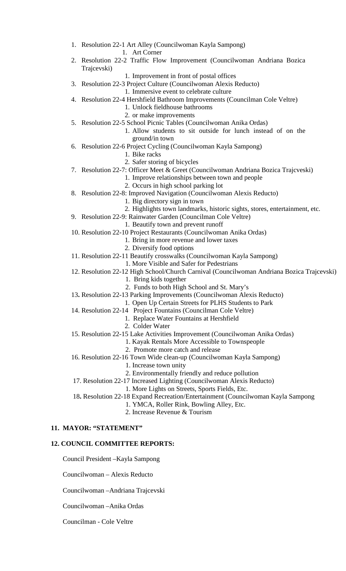- 1. Resolution 22-1 Art Alley (Councilwoman Kayla Sampong)
	- 1. Art Corner
- 2. Resolution 22-2 Traffic Flow Improvement (Councilwoman Andriana Bozica Trajcevski)
	- 1. Improvement in front of postal offices
- 3. Resolution 22-3 Project Culture (Councilwoman Alexis Reducto)

1. Immersive event to celebrate culture

- 4. Resolution 22-4 Hershfield Bathroom Improvements (Councilman Cole Veltre)
	- 1. Unlock fieldhouse bathrooms
	- 2. or make improvements
- 5. Resolution 22-5 School Picnic Tables (Councilwoman Anika Ordas)
	- 1. Allow students to sit outside for lunch instead of on the ground/in town
- 6. Resolution 22-6 Project Cycling (Councilwoman Kayla Sampong)
	- 1. Bike racks
	- 2. Safer storing of bicycles
- 7. Resolution 22-7: Officer Meet & Greet (Councilwoman Andriana Bozica Trajcveski)
	- 1. Improve relationships between town and people
	- 2. Occurs in high school parking lot
- 8. Resolution 22-8: Improved Navigation (Councilwoman Alexis Reducto)
	- 1. Big directory sign in town
	- 2. Highlights town landmarks, historic sights, stores, entertainment, etc.
- 9. Resolution 22-9: Rainwater Garden (Councilman Cole Veltre)
	- 1. Beautify town and prevent runoff
- 10. Resolution 22-10 Project Restaurants (Councilwoman Anika Ordas)
	- 1. Bring in more revenue and lower taxes
	- 2. Diversify food options
- 11. Resolution 22-11 Beautify crosswalks (Councilwoman Kayla Sampong)
	- 1. More Visible and Safer for Pedestrians
- 12. Resolution 22-12 High School/Church Carnival (Councilwoman Andriana Bozica Trajcevski)
	- 1. Bring kids together
- 2. Funds to both High School and St. Mary's 13**.** Resolution 22-13 Parking Improvements (Councilwoman Alexis Reducto)
- 1. Open Up Certain Streets for PLHS Students to Park
- 14. Resolution 22-14Project Fountains (Councilman Cole Veltre)

## 1. Replace Water Fountains at Hershfield

- 2. Colder Water
- 15. Resolution 22-15 Lake Activities Improvement (Councilwoman Anika Ordas)
	- 1. Kayak Rentals More Accessible to Townspeople
		- 2. Promote more catch and release
- 16. Resolution 22-16 Town Wide clean-up (Councilwoman Kayla Sampong)
	- 1. Increase town unity
		- 2. Environmentally friendly and reduce pollution
- 17. Resolution 22-17 Increased Lighting (Councilwoman Alexis Reducto)
	- 1. More Lights on Streets, Sports Fields, Etc.
- 18**.** Resolution 22-18 Expand Recreation/Entertainment (Councilwoman Kayla Sampong
	- 1. YMCA, Roller Rink, Bowling Alley, Etc.
	- 2. Increase Revenue & Tourism

## **11. MAYOR: "STATEMENT"**

## **12. COUNCIL COMMITTEE REPORTS:**

Council President –Kayla Sampong

Councilwoman – Alexis Reducto

Councilwoman –Andriana Trajcevski

Councilwoman –Anika Ordas

Councilman - Cole Veltre